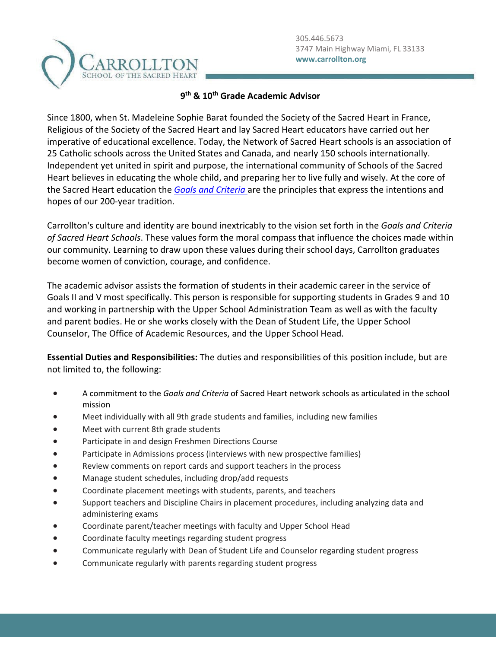

## **9th & 10th Grade Academic Advisor**

Since 1800, when St. Madeleine Sophie Barat founded the Society of the Sacred Heart in France, Religious of the Society of the Sacred Heart and lay Sacred Heart educators have carried out her imperative of educational excellence. Today, the Network of Sacred Heart schools is an association of 25 Catholic schools across the United States and Canada, and nearly 150 schools internationally. Independent yet united in spirit and purpose, the international community of Schools of the Sacred Heart believes in educating the whole child, and preparing her to live fully and wisely. At the core of the Sacred Heart education the *[Goals and Criteria](https://www.sacredheartusc.education/mission/goals-and-criteria)* are the principles that express the intentions and hopes of our 200-year tradition.

Carrollton's culture and identity are bound inextricably to the vision set forth in the *Goals and Criteria of Sacred Heart Schools*. These values form the moral compass that influence the choices made within our community. Learning to draw upon these values during their school days, Carrollton graduates become women of conviction, courage, and confidence.

The academic advisor assists the formation of students in their academic career in the service of Goals II and V most specifically. This person is responsible for supporting students in Grades 9 and 10 and working in partnership with the Upper School Administration Team as well as with the faculty and parent bodies. He or she works closely with the Dean of Student Life, the Upper School Counselor, The Office of Academic Resources, and the Upper School Head.

**Essential Duties and Responsibilities:** The duties and responsibilities of this position include, but are not limited to, the following:

- A commitment to the *Goals and Criteria* of Sacred Heart network schools as articulated in the school mission
- Meet individually with all 9th grade students and families, including new families
- Meet with current 8th grade students
- Participate in and design Freshmen Directions Course
- Participate in Admissions process (interviews with new prospective families)
- Review comments on report cards and support teachers in the process
- Manage student schedules, including drop/add requests
- Coordinate placement meetings with students, parents, and teachers
- Support teachers and Discipline Chairs in placement procedures, including analyzing data and administering exams
- Coordinate parent/teacher meetings with faculty and Upper School Head
- Coordinate faculty meetings regarding student progress
- Communicate regularly with Dean of Student Life and Counselor regarding student progress
- Communicate regularly with parents regarding student progress